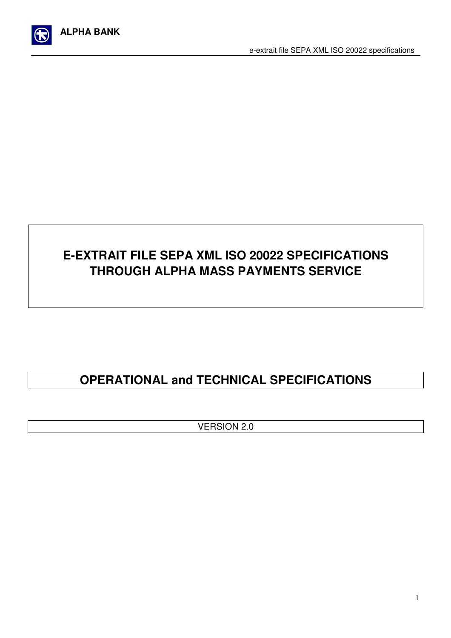

# **E-EXTRAIT FILE SEPA XML ISO 20022 SPECIFICATIONS THROUGH ALPHA MASS PAYMENTS SERVICE**

# **OPERATIONAL and TECHNICAL SPECIFICATIONS**

VERSION 2.0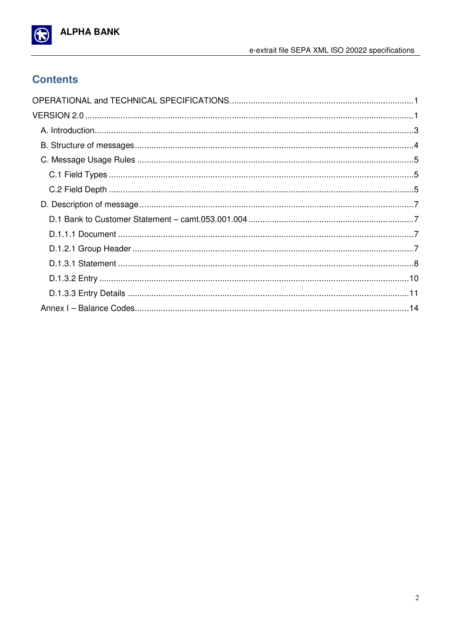

## **Contents**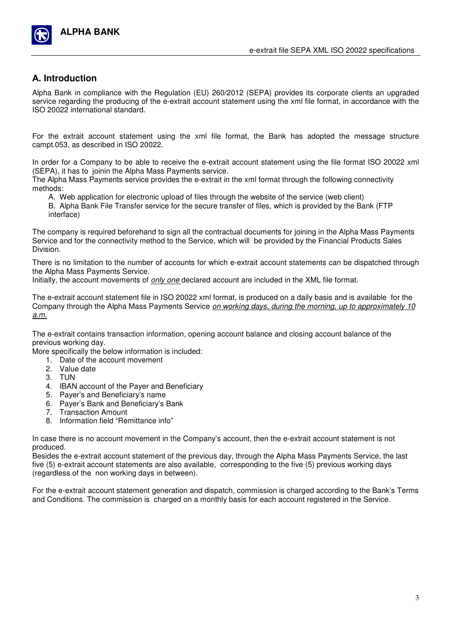

## Α**. Introduction**

Alpha Bank in compliance with the Regulation (EU) 260/2012 (SEPA) provides its corporate clients an upgraded service regarding the producing of the e-extrait account statement using the xml file format, in accordance with the ISO 20022 international standard.

For the extrait account statement using the xml file format, the Bank has adopted the message structure campt.053, as described in ISO 20022.

In order for a Company to be able to receive the e-extrait account statement using the file format ISO 20022 xml (SEPA), it has to joinin the Alpha Mass Payments service.

The Alpha Mass Payments service provides the e-extrait in the xml format through the following connectivity methods:

A. Web application for electronic upload of files through the website of the service (web client)

B. Alpha Bank File Transfer service for the secure transfer of files, which is provided by the Bank (FTP interface)

The company is required beforehand to sign all the contractual documents for joining in the Alpha Mass Payments Service and for the connectivity method to the Service, which will be provided by the Financial Products Sales Division.

There is no limitation to the number of accounts for which e-extrait account statements can be dispatched through the Alpha Mass Payments Service.

Initially, the account movements of *only one* declared account are included in the XML file format.

The e-extrait account statement file in ISO 20022 xml format, is produced on a daily basis and is available for the Company through the Alpha Mass Payments Service on working days, during the morning, up to approximately 10 a.m.

The e-extrait contains transaction information, opening account balance and closing account balance of the previous working day.

More specifically the below information is included:

- 1. Date of the account movement
- 2. Value date
- 3. TUN
- 4. IBAN account of the Payer and Beneficiary
- 5. Payer's and Beneficiary's name
- 6. Payer's Bank and Beneficiary's Bank
- 7. Transaction Amount
- 8. Information field "Remittance info"

In case there is no account movement in the Company's account, then the e-extrait account statement is not produced.

Besides the e-extrait account statement of the previous day, through the Alpha Mass Payments Service, the last five (5) e-extrait account statements are also available, corresponding to the five (5) previous working days (regardless of the non working days in between).

For the e-extrait account statement generation and dispatch, commission is charged according to the Bank's Terms and Conditions. The commission is charged on a monthly basis for each account registered in the Service.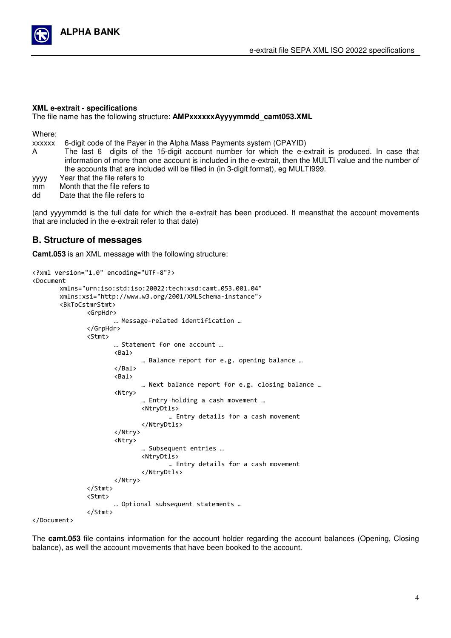

#### **XML e-extrait - specifications**

The file name has the following structure: Α**MPxxxxxxAyyyymmdd\_camt053.XML**

Where:

xxxxxx 6-digit code of the Payer in the Alpha Mass Payments system (CPAYID)

Α The last 6 digits of the 15-digit account number for which the e-extrait is produced. In case that information of more than one account is included in the e-extrait, then the MULTI value and the number of the accounts that are included will be filled in (in 3-digit format), eg MULTI999.

yyyy Year that the file refers to

- mm Month that the file refers to<br>dd Date that the file refers to
- Date that the file refers to

(and yyyymmdd is the full date for which the e-extrait has been produced. It meansthat the account movements that are included in the e-extrait refer to that date)

#### Β**. Structure of messages**

**Camt.053** is an XML message with the following structure:

```
<?xml version="1.0" encoding="UTF-8"?> 
<Document 
       xmlns="urn:iso:std:iso:20022:tech:xsd:camt.053.001.04" 
       xmlns:xsi="http://www.w3.org/2001/XMLSchema-instance"> 
       <BkToCstmrStmt> 
                <GrpHdr> 
                       … Message-related identification … 
                </GrpHdr> 
                <Stmt> 
                       … Statement for one account … 
                       <Bal> 
                               … Balance report for e.g. opening balance … 
                       </Bal> 
                       <Bal> 
                               … Next balance report for e.g. closing balance … 
                       <Ntry> 
                               … Entry holding a cash movement … 
                               <NtryDtls> 
                                        … Entry details for a cash movement 
                               </NtryDtls> 
                       </Ntry> 
                       <Ntry> 
                               … Subsequent entries … 
                               <NtryDtls> 
                                         … Entry details for a cash movement 
                               </NtryDtls> 
                       </Ntry> 
                </Stmt> 
                <Stmt> 
                       … Optional subsequent statements … 
                </Stmt>
```
</Document>

The **camt.053** file contains information for the account holder regarding the account balances (Opening, Closing balance), as well the account movements that have been booked to the account.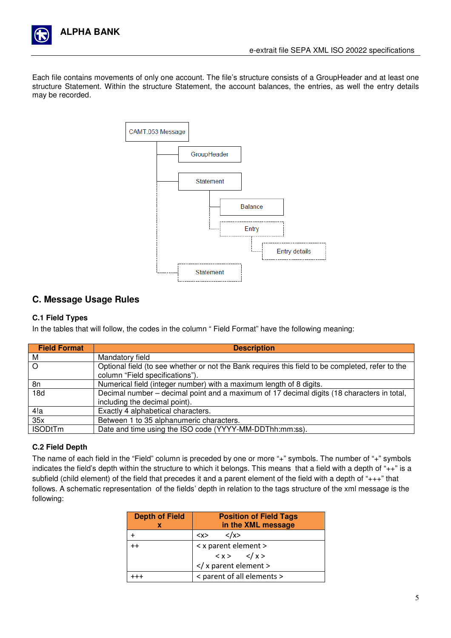

Each file contains movements of only one account. The file's structure consists of a GroupHeader and at least one structure Statement. Within the structure Statement, the account balances, the entries, as well the entry details may be recorded.



### **C. Message Usage Rules**

#### **C.1 Field Types**

In the tables that will follow, the codes in the column " Field Format" have the following meaning:

| <b>Field Format</b> | <b>Description</b>                                                                                                                  |
|---------------------|-------------------------------------------------------------------------------------------------------------------------------------|
| М                   | Mandatory field                                                                                                                     |
| $\Omega$            | Optional field (to see whether or not the Bank requires this field to be completed, refer to the<br>column "Field specifications"). |
| 8n                  | Numerical field (integer number) with a maximum length of 8 digits.                                                                 |
| 18d                 | Decimal number – decimal point and a maximum of 17 decimal digits (18 characters in total,<br>including the decimal point).         |
| 4!a                 | Exactly 4 alphabetical characters.                                                                                                  |
| 35x                 | Between 1 to 35 alphanumeric characters.                                                                                            |
| <b>ISODtTm</b>      | Date and time using the ISO code (YYYY-MM-DDThh:mm:ss).                                                                             |

#### **C.2 Field Depth**

The name of each field in the "Field" column is preceded by one or more "+" symbols. The number of "+" symbols indicates the field's depth within the structure to which it belongs. This means that a field with a depth of "++" is a subfield (child element) of the field that precedes it and a parent element of the field with a depth of "+++" that follows. A schematic representation of the fields' depth in relation to the tags structure of the xml message is the following:

| <b>Depth of Field</b> | <b>Position of Field Tags</b>           |  |  |
|-----------------------|-----------------------------------------|--|--|
| х                     | in the XML message                      |  |  |
|                       | $\langle x \rangle$<br><x></x>          |  |  |
| $^{++}$               | < x parent element >                    |  |  |
|                       | $\langle x \rangle$ $\langle x \rangle$ |  |  |
|                       | x parent element                        |  |  |
|                       | < parent of all elements >              |  |  |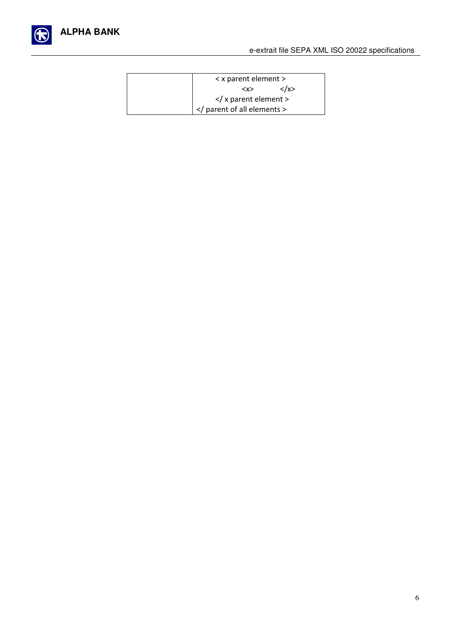

| < x parent element >                   |  |
|----------------------------------------|--|
| <x></x>                                |  |
| $\langle x \rangle$ x parent element > |  |
| parent of all elements                 |  |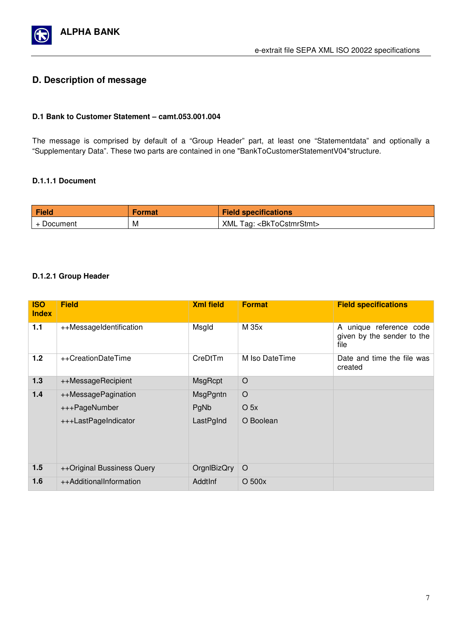

## **D. Description of message**

#### **D.1 Bank to Customer Statement – camt.053.001.004**

The message is comprised by default of a "Group Header" part, at least one "Statementdata" and optionally a "Supplementary Data". These two parts are contained in one "BankToCustomerStatementV04"structure.

#### **D.1.1.1 Document**

| Field      | Format | <b>Field specifications</b>              |
|------------|--------|------------------------------------------|
| + Document | M      | XML Tag: <bktocstmrstmt></bktocstmrstmt> |

#### **D.1.2.1 Group Header**

| <b>ISO</b><br><b>Index</b> | <b>Field</b>               | <b>Xml field</b> | <b>Format</b>   | <b>Field specifications</b>                                   |
|----------------------------|----------------------------|------------------|-----------------|---------------------------------------------------------------|
| 1.1                        | ++MessageIdentification    | Msgld            | M 35x           | A unique reference code<br>given by the sender to the<br>file |
| 1.2                        | ++CreationDateTime         | CreDtTm          | M Iso DateTime  | Date and time the file was<br>created                         |
| 1.3                        | ++MessageRecipient         | MsgRcpt          | $\circ$         |                                                               |
| $1.4$                      | ++MessagePagination        | MsgPgntn         | $\circ$         |                                                               |
|                            | +++PageNumber              | PgNb             | O <sub>5x</sub> |                                                               |
|                            | +++LastPageIndicator       | LastPgInd        | O Boolean       |                                                               |
| 1.5                        | ++Original Bussiness Query | OrgnIBizQry      | $\circ$         |                                                               |
| 1.6                        | ++AdditionalInformation    | AddtInf          | $O$ 500 $x$     |                                                               |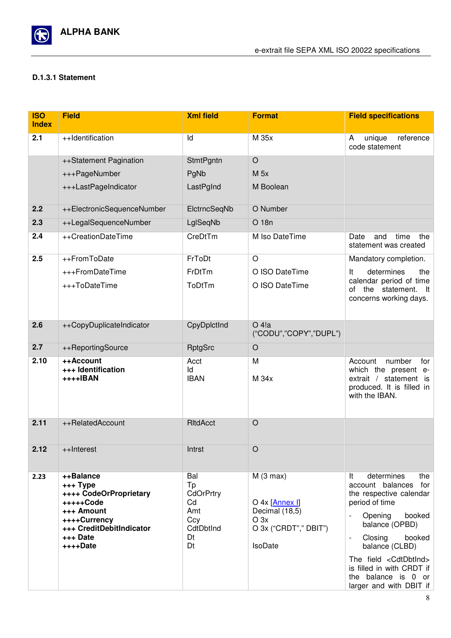

#### **D.1.3.1 Statement**

| <b>ISO</b><br><b>Index</b> | <b>Field</b>                                                                                                                                   | <b>Xml field</b>                                                    | <b>Format</b>                                                                                              | <b>Field specifications</b>                                                                                                                                                                                                                                                                                                      |
|----------------------------|------------------------------------------------------------------------------------------------------------------------------------------------|---------------------------------------------------------------------|------------------------------------------------------------------------------------------------------------|----------------------------------------------------------------------------------------------------------------------------------------------------------------------------------------------------------------------------------------------------------------------------------------------------------------------------------|
| 2.1                        | ++Identification                                                                                                                               | Id                                                                  | M 35x                                                                                                      | reference<br>unique<br>A<br>code statement                                                                                                                                                                                                                                                                                       |
|                            | ++Statement Pagination                                                                                                                         | <b>StmtPgntn</b>                                                    | $\circ$                                                                                                    |                                                                                                                                                                                                                                                                                                                                  |
|                            | +++PageNumber                                                                                                                                  | PgNb                                                                | $M$ 5x                                                                                                     |                                                                                                                                                                                                                                                                                                                                  |
|                            | +++LastPageIndicator                                                                                                                           | LastPgInd                                                           | M Boolean                                                                                                  |                                                                                                                                                                                                                                                                                                                                  |
| 2.2                        | ++ElectronicSequenceNumber                                                                                                                     | ElctrncSeqNb                                                        | O Number                                                                                                   |                                                                                                                                                                                                                                                                                                                                  |
| 2.3                        | ++LegalSequenceNumber                                                                                                                          | LgISeqNb                                                            | O 18n                                                                                                      |                                                                                                                                                                                                                                                                                                                                  |
| 2.4                        | ++CreationDateTime                                                                                                                             | CreDtTm                                                             | M Iso DateTime                                                                                             | time<br>the<br>Date<br>and<br>statement was created                                                                                                                                                                                                                                                                              |
| 2.5                        | ++FromToDate                                                                                                                                   | FrToDt                                                              | $\overline{O}$                                                                                             | Mandatory completion.                                                                                                                                                                                                                                                                                                            |
|                            | +++FromDateTime                                                                                                                                | FrDtTm                                                              | O ISO DateTime                                                                                             | determines<br>It<br>the                                                                                                                                                                                                                                                                                                          |
|                            | +++ToDateTime                                                                                                                                  | ToDtTm                                                              | O ISO DateTime                                                                                             | calendar period of time<br>of the statement. It<br>concerns working days.                                                                                                                                                                                                                                                        |
| 2.6                        | ++CopyDuplicateIndicator                                                                                                                       | CpyDplctInd                                                         | $O$ 4!a<br>("CODU", "COPY", "DUPL")                                                                        |                                                                                                                                                                                                                                                                                                                                  |
| 2.7                        | ++ReportingSource                                                                                                                              | <b>RptgSrc</b>                                                      | $\circ$                                                                                                    |                                                                                                                                                                                                                                                                                                                                  |
| 2.10                       | ++Account<br>+++ Identification<br>++++IBAN                                                                                                    | Acct<br>Id<br><b>IBAN</b>                                           | M<br>M 34x                                                                                                 | Account<br>number<br>for<br>which the present e-<br>extrait / statement is<br>produced. It is filled in<br>with the IBAN.                                                                                                                                                                                                        |
| 2.11                       | ++RelatedAccount                                                                                                                               | RItdAcct                                                            | $\circ$                                                                                                    |                                                                                                                                                                                                                                                                                                                                  |
| 2.12                       | ++Interest                                                                                                                                     | Intrst                                                              | $\bigcirc$                                                                                                 |                                                                                                                                                                                                                                                                                                                                  |
| 2.23                       | ++Balance<br>+++ Type<br>++++ CodeOrProprietary<br>+++++Code<br>+++ Amount<br>++++Currency<br>+++ CreditDebitIndicator<br>+++ Date<br>++++Date | Bal<br>Tp<br>CdOrPrtry<br>Cd<br>Amt<br>Ccy<br>CdtDbtInd<br>Dt<br>Dt | M(3 max)<br>O 4x [Annex I]<br>Decimal (18,5)<br>O <sub>3x</sub><br>O 3x ("CRDT"," DBIT")<br><b>IsoDate</b> | It<br>determines<br>the<br>for<br>account balances<br>the respective calendar<br>period of time<br>Opening<br>booked<br>$\overline{\phantom{a}}$<br>balance (OPBD)<br>booked<br>Closing<br>balance (CLBD)<br>The field <cdtdbtind><br/>is filled in with CRDT if<br/>the balance is 0 or<br/>larger and with DBIT if</cdtdbtind> |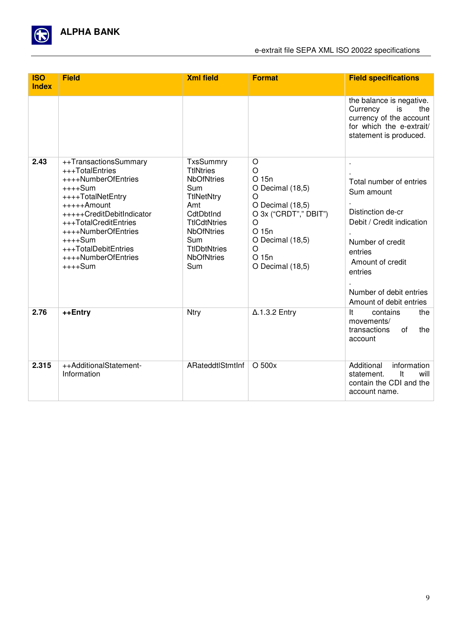

| <b>ISO</b><br><b>Index</b> | <b>Field</b>                                                                                                                                                                                                                                                          | <b>Xml field</b>                                                                                                                                                                                         | <b>Format</b>                                                                                                                                                                     | <b>Field specifications</b>                                                                                                                                                                                      |
|----------------------------|-----------------------------------------------------------------------------------------------------------------------------------------------------------------------------------------------------------------------------------------------------------------------|----------------------------------------------------------------------------------------------------------------------------------------------------------------------------------------------------------|-----------------------------------------------------------------------------------------------------------------------------------------------------------------------------------|------------------------------------------------------------------------------------------------------------------------------------------------------------------------------------------------------------------|
|                            |                                                                                                                                                                                                                                                                       |                                                                                                                                                                                                          |                                                                                                                                                                                   | the balance is negative.<br>Currency<br>the<br>is<br>currency of the account<br>for which the e-extrait/<br>statement is produced.                                                                               |
| 2.43                       | ++TransactionsSummary<br>+++TotalEntries<br>++++NumberOfEntries<br>$+++Sum$<br>++++TotalNetEntry<br>+++++Amount<br>+++++CreditDebitIndicator<br>+++TotalCreditEntries<br>++++NumberOfEntries<br>$++++Sum$<br>+++TotalDebitEntries<br>++++NumberOfEntries<br>$++++Sum$ | TxsSummry<br><b>TtlNtries</b><br><b>NbOfNtries</b><br>Sum<br><b>TtlNetNtry</b><br>Amt<br>CdtDbtInd<br><b>TtlCdtNtries</b><br><b>NbOfNtries</b><br>Sum<br><b>TtlDbtNtries</b><br><b>NbOfNtries</b><br>Sum | $\circ$<br>$\circ$<br>O 15n<br>O Decimal (18,5)<br>O<br>O Decimal (18,5)<br>O 3x ("CRDT"," DBIT")<br>$\circ$<br>O 15n<br>O Decimal (18,5)<br>$\circ$<br>O 15n<br>O Decimal (18,5) | ×<br>Total number of entries<br>Sum amount<br>Distinction de-cr<br>Debit / Credit indication<br>Number of credit<br>entries<br>Amount of credit<br>entries<br>Number of debit entries<br>Amount of debit entries |
| 2.76                       | ++Entry                                                                                                                                                                                                                                                               | Ntry                                                                                                                                                                                                     | $\Delta$ .1.3.2 Entry                                                                                                                                                             | It<br>contains<br>the<br>movements/<br>of<br>transactions<br>the<br>account                                                                                                                                      |
| 2.315                      | ++AdditionalStatement-<br>Information                                                                                                                                                                                                                                 | ARateddtlStmtInf                                                                                                                                                                                         | O 500x                                                                                                                                                                            | Additional<br>information<br><b>It</b><br>will<br>statement.<br>contain the CDI and the<br>account name.                                                                                                         |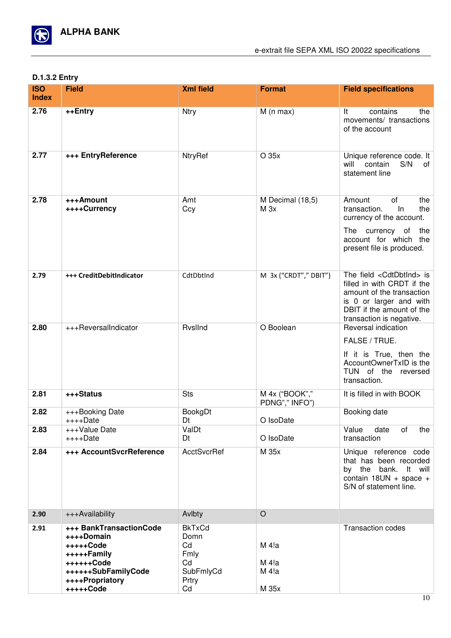

#### **D.1.3.2 Entry**

| <b>ISO</b><br><b>Index</b> | <b>Field</b>                                                                                                                           | <b>Xml field</b>                                                      | <b>Format</b>                       | <b>Field specifications</b>                                                                                                                                                              |
|----------------------------|----------------------------------------------------------------------------------------------------------------------------------------|-----------------------------------------------------------------------|-------------------------------------|------------------------------------------------------------------------------------------------------------------------------------------------------------------------------------------|
| 2.76                       | ++Entry                                                                                                                                | <b>Ntry</b>                                                           | $M(n \max)$                         | It<br>contains<br>the<br>movements/ transactions<br>of the account                                                                                                                       |
| 2.77                       | +++ EntryReference                                                                                                                     | <b>NtryRef</b>                                                        | O 35x                               | Unique reference code. It<br>will<br>contain<br>S/N<br>of<br>statement line                                                                                                              |
| 2.78                       | +++Amount<br>++++Currency                                                                                                              | Amt<br>Ccy                                                            | M Decimal (18,5)<br>M <sub>3x</sub> | of<br>Amount<br>the<br>In<br>transaction.<br>the<br>currency of the account.<br>The currency of<br>the<br>account for which the<br>present file is produced.                             |
| 2.79                       | +++ CreditDebitIndicator                                                                                                               | CdtDbtInd                                                             | M 3x ("CRDT"," DBIT")               | The field <cdtdbtind> is<br/>filled in with CRDT if the<br/>amount of the transaction<br/>is 0 or larger and with<br/>DBIT if the amount of the<br/>transaction is negative.</cdtdbtind> |
| 2.80                       | +++ReversalIndicator                                                                                                                   | RvslInd                                                               | O Boolean                           | Reversal indication<br>FALSE / TRUE.<br>If it is True, then the<br>AccountOwnerTxID is the<br>TUN of the reversed<br>transaction.                                                        |
| 2.81                       | +++Status                                                                                                                              | <b>Sts</b>                                                            | M 4x ("BOOK","<br>PDNG"," INFO")    | It is filled in with BOOK                                                                                                                                                                |
| 2.82                       | +++Booking Date<br>++++Date                                                                                                            | <b>BookgDt</b><br>Dt                                                  | O IsoDate                           | Booking date                                                                                                                                                                             |
| 2.83                       | +++Value Date<br>$++++$ Date                                                                                                           | ValDt<br>Dt                                                           | O IsoDate                           | Value<br>date<br>οf<br>the<br>transaction                                                                                                                                                |
| 2.84                       | +++ AccountSvcrReference                                                                                                               | <b>AcctSvcrRef</b>                                                    | M 35x                               | Unique reference code<br>that has been recorded<br>by the bank. It will<br>contain $18UN + space +$<br>S/N of statement line.                                                            |
| 2.90                       | +++Availability                                                                                                                        | Avlbty                                                                | $\circ$                             |                                                                                                                                                                                          |
| 2.91                       | +++ BankTransactionCode<br>++++Domain<br>+++++Code<br>+++++Family<br>++++++Code<br>++++++SubFamilyCode<br>++++Propriatory<br>+++++Code | <b>BkTxCd</b><br>Domn<br>Cd<br>Fmly<br>Cd<br>SubFmlyCd<br>Prtry<br>Cd | M 4!a<br>M 4!a<br>M 4!a<br>M 35x    | <b>Transaction codes</b>                                                                                                                                                                 |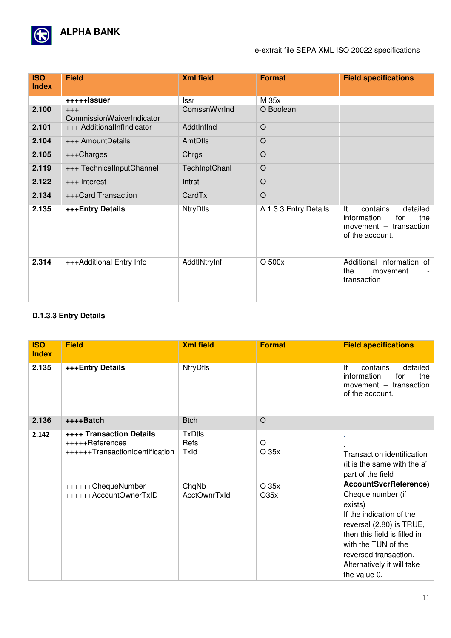

## e-extrait file SEPA XML ISO 20022 specifications

| <b>ISO</b><br><b>Index</b> | <b>Field</b>                       | <b>Xml field</b> | <b>Format</b>                 | <b>Field specifications</b>                                                                            |
|----------------------------|------------------------------------|------------------|-------------------------------|--------------------------------------------------------------------------------------------------------|
|                            | +++++lssuer                        | lssr             | M 35x                         |                                                                                                        |
| 2.100                      | $+++$<br>CommissionWaiverIndicator | ComssnWvrInd     | O Boolean                     |                                                                                                        |
| 2.101                      | +++ AdditionalInfIndicator         | AddtInfInd       | $\circ$                       |                                                                                                        |
| 2.104                      | +++ AmountDetails                  | AmtDtls          | $\circ$                       |                                                                                                        |
| 2.105                      | +++Charges                         | Chrgs            | $\circ$                       |                                                                                                        |
| 2.119                      | +++ TechnicalInputChannel          | TechInptChanl    | O                             |                                                                                                        |
| 2.122                      | +++ Interest                       | Intrst           | O                             |                                                                                                        |
| 2.134                      | +++Card Transaction                | CardTx           | O                             |                                                                                                        |
| 2.135                      | +++ Entry Details                  | <b>NtryDtls</b>  | $\Delta$ .1.3.3 Entry Details | detailed<br>It<br>contains<br>information<br>the<br>for<br>movement $-$ transaction<br>of the account. |
| 2.314                      | +++Additional Entry Info           | AddtlNtryInf     | O 500x                        | Additional information<br>of<br>the<br>movement<br>transaction                                         |

## **D.1.3.3 Entry Details**

| <b>ISO</b><br><b>Index</b> | <b>Field</b>                                                                                                                          | <b>Xml field</b>                                              | <b>Format</b>               | <b>Field specifications</b>                                                                                                                                                                                                                                                                                                          |
|----------------------------|---------------------------------------------------------------------------------------------------------------------------------------|---------------------------------------------------------------|-----------------------------|--------------------------------------------------------------------------------------------------------------------------------------------------------------------------------------------------------------------------------------------------------------------------------------------------------------------------------------|
| 2.135                      | +++Entry Details                                                                                                                      | <b>NtryDtls</b>                                               |                             | detailed<br>It<br>contains<br>information<br>the<br>for<br>movement - transaction<br>of the account.                                                                                                                                                                                                                                 |
| 2.136                      | ++++Batch                                                                                                                             | <b>Btch</b>                                                   | $\circ$                     |                                                                                                                                                                                                                                                                                                                                      |
| 2.142                      | <b>++++ Transaction Details</b><br>+++++References<br>++++++TransactionIdentification<br>++++++ChequeNumber<br>++++++AccountOwnerTxID | <b>TxDtls</b><br>Refs<br>Txld<br>ChqNb<br><b>AcctOwnrTxId</b> | O<br>O 35x<br>O 35x<br>O35x | Transaction identification<br>(it is the same with the a'<br>part of the field<br><b>AccountSvcrReference)</b><br>Cheque number (if<br>exists)<br>If the indication of the<br>reversal (2.80) is TRUE,<br>then this field is filled in<br>with the TUN of the<br>reversed transaction.<br>Alternatively it will take<br>the value 0. |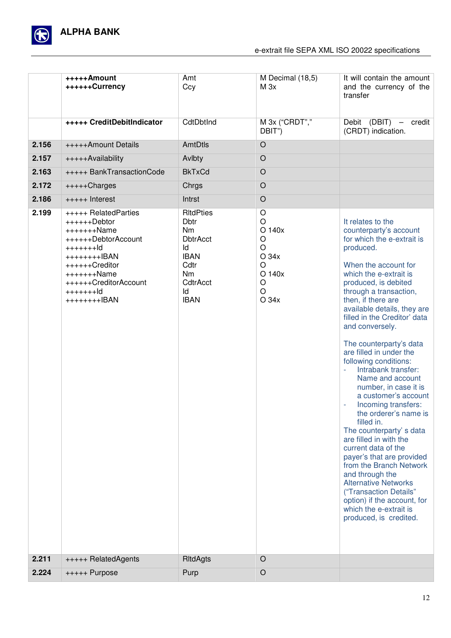

#### e-extrait file SEPA XML ISO 20022 specifications

|       | +++++Amount<br>++++++Currency                                                                                                                                                                   | Amt<br>Ccy                                                                                                                                      | M Decimal (18,5)<br>M 3x                                                                            | It will contain the amount<br>and the currency of the<br>transfer                                                                                                                                                                                                                                                                                                                                                                                                                                                                                                                                                                                                                                                                                                                                                                                    |
|-------|-------------------------------------------------------------------------------------------------------------------------------------------------------------------------------------------------|-------------------------------------------------------------------------------------------------------------------------------------------------|-----------------------------------------------------------------------------------------------------|------------------------------------------------------------------------------------------------------------------------------------------------------------------------------------------------------------------------------------------------------------------------------------------------------------------------------------------------------------------------------------------------------------------------------------------------------------------------------------------------------------------------------------------------------------------------------------------------------------------------------------------------------------------------------------------------------------------------------------------------------------------------------------------------------------------------------------------------------|
|       | +++++ CreditDebitIndicator                                                                                                                                                                      | CdtDbtInd                                                                                                                                       | M 3x ("CRDT","<br>DBIT")                                                                            | Debit (DBIT)<br>credit<br>$\overline{\phantom{0}}$<br>(CRDT) indication.                                                                                                                                                                                                                                                                                                                                                                                                                                                                                                                                                                                                                                                                                                                                                                             |
| 2.156 | +++++Amount Details                                                                                                                                                                             | AmtDtls                                                                                                                                         | $\circ$                                                                                             |                                                                                                                                                                                                                                                                                                                                                                                                                                                                                                                                                                                                                                                                                                                                                                                                                                                      |
| 2.157 | +++++Availability                                                                                                                                                                               | Avlbty                                                                                                                                          | $\circ$                                                                                             |                                                                                                                                                                                                                                                                                                                                                                                                                                                                                                                                                                                                                                                                                                                                                                                                                                                      |
| 2.163 | +++++ BankTransactionCode                                                                                                                                                                       | <b>BkTxCd</b>                                                                                                                                   | $\circ$                                                                                             |                                                                                                                                                                                                                                                                                                                                                                                                                                                                                                                                                                                                                                                                                                                                                                                                                                                      |
| 2.172 | +++++Charges                                                                                                                                                                                    | Chrgs                                                                                                                                           | $\circ$                                                                                             |                                                                                                                                                                                                                                                                                                                                                                                                                                                                                                                                                                                                                                                                                                                                                                                                                                                      |
| 2.186 | +++++ Interest                                                                                                                                                                                  | Intrst                                                                                                                                          | $\circ$                                                                                             |                                                                                                                                                                                                                                                                                                                                                                                                                                                                                                                                                                                                                                                                                                                                                                                                                                                      |
| 2.199 | +++++ RelatedParties<br>$+++++Debtor$<br>$+++++Name$<br>++++++DebtorAccount<br>$+++++Id$<br>++++++++IBAN<br>++++++Creditor<br>$+++++Name$<br>++++++CreditorAccount<br>$+++++Id$<br>++++++++IBAN | <b>RItdPties</b><br><b>Dbtr</b><br><b>Nm</b><br><b>DbtrAcct</b><br>ld<br><b>IBAN</b><br>Cdtr<br>N <sub>m</sub><br>CdtrAcct<br>ld<br><b>IBAN</b> | O<br>$\circ$<br>O 140x<br>$\circ$<br>$\circ$<br>O 34x<br>$\circ$<br>O 140x<br>O<br>$\circ$<br>O 34x | It relates to the<br>counterparty's account<br>for which the e-extrait is<br>produced.<br>When the account for<br>which the e-extrait is<br>produced, is debited<br>through a transaction,<br>then, if there are<br>available details, they are<br>filled in the Creditor' data<br>and conversely.<br>The counterparty's data<br>are filled in under the<br>following conditions:<br>Intrabank transfer:<br>Name and account<br>number, in case it is<br>a customer's account<br>Incoming transfers:<br>÷,<br>the orderer's name is<br>filled in.<br>The counterparty's data<br>are filled in with the<br>current data of the<br>payer's that are provided<br>from the Branch Network<br>and through the<br><b>Alternative Networks</b><br>("Transaction Details"<br>option) if the account, for<br>which the e-extrait is<br>produced, is credited. |
| 2.211 | +++++ RelatedAgents                                                                                                                                                                             | <b>RItdAgts</b>                                                                                                                                 | $\circ$                                                                                             |                                                                                                                                                                                                                                                                                                                                                                                                                                                                                                                                                                                                                                                                                                                                                                                                                                                      |
| 2.224 | +++++ Purpose                                                                                                                                                                                   | Purp                                                                                                                                            | $\circ$                                                                                             |                                                                                                                                                                                                                                                                                                                                                                                                                                                                                                                                                                                                                                                                                                                                                                                                                                                      |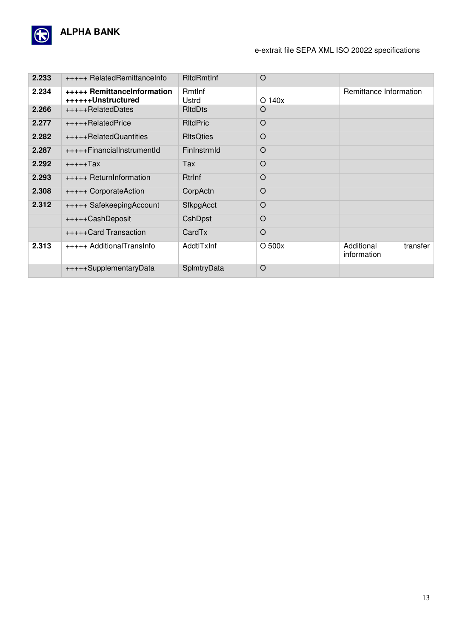

#### e-extrait file SEPA XML ISO 20022 specifications

| 2.233 | +++++ RelatedRemittanceInfo                       | <b>RitdRmtInf</b> | $\circ$     |                                       |
|-------|---------------------------------------------------|-------------------|-------------|---------------------------------------|
| 2.234 | +++++ RemittanceInformation<br>++++++Unstructured | Rmtlnf<br>Ustrd   | $O$ 140 $x$ | Remittance Information                |
| 2.266 | +++++RelatedDates                                 | <b>RitdDts</b>    | O           |                                       |
| 2.277 | +++++RelatedPrice                                 | <b>RItdPric</b>   | $\circ$     |                                       |
| 2.282 | +++++RelatedQuantities                            | <b>RItsQties</b>  | O           |                                       |
| 2.287 | +++++FinancialInstrumentId                        | FinInstrmId       | $\circ$     |                                       |
| 2.292 | +++++Tax                                          | Tax               | $\circ$     |                                       |
| 2.293 | +++++ ReturnInformation                           | <b>Rtrlnf</b>     | $\circ$     |                                       |
| 2.308 | +++++ CorporateAction                             | CorpActn          | $\circ$     |                                       |
| 2.312 | +++++ SafekeepingAccount                          | <b>SfkpgAcct</b>  | $\circ$     |                                       |
|       | +++++CashDeposit                                  | CshDpst           | $\circ$     |                                       |
|       | +++++Card Transaction                             | CardTx            | $\circ$     |                                       |
| 2.313 | +++++ AdditionalTransInfo                         | AddtlTxInf        | $O$ 500 $x$ | Additional<br>transfer<br>information |
|       | +++++SupplementaryData                            | SplmtryData       | $\circ$     |                                       |